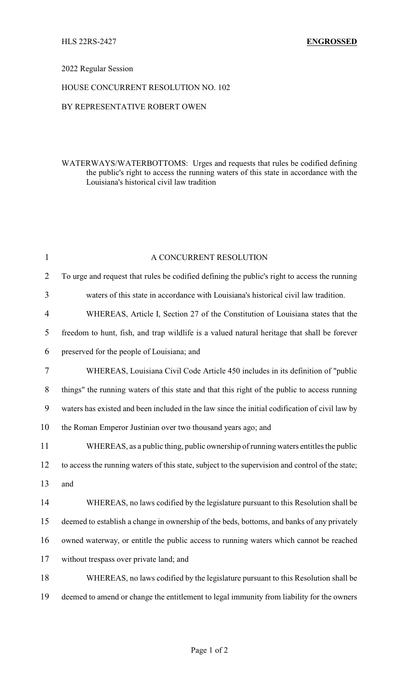# 2022 Regular Session

### HOUSE CONCURRENT RESOLUTION NO. 102

### BY REPRESENTATIVE ROBERT OWEN

### WATERWAYS/WATERBOTTOMS: Urges and requests that rules be codified defining the public's right to access the running waters of this state in accordance with the Louisiana's historical civil law tradition

| $\mathbf{1}$   | A CONCURRENT RESOLUTION                                                                          |
|----------------|--------------------------------------------------------------------------------------------------|
| $\overline{2}$ | To urge and request that rules be codified defining the public's right to access the running     |
| $\overline{3}$ | waters of this state in accordance with Louisiana's historical civil law tradition.              |
| $\overline{4}$ | WHEREAS, Article I, Section 27 of the Constitution of Louisiana states that the                  |
| 5              | freedom to hunt, fish, and trap wildlife is a valued natural heritage that shall be forever      |
| 6              | preserved for the people of Louisiana; and                                                       |
| 7              | WHEREAS, Louisiana Civil Code Article 450 includes in its definition of "public                  |
| $8\,$          | things" the running waters of this state and that this right of the public to access running     |
| 9              | waters has existed and been included in the law since the initial codification of civil law by   |
| 10             | the Roman Emperor Justinian over two thousand years ago; and                                     |
| 11             | WHEREAS, as a public thing, public ownership of running waters entitles the public               |
| 12             | to access the running waters of this state, subject to the supervision and control of the state; |
| 13             | and                                                                                              |
| 14             | WHEREAS, no laws codified by the legislature pursuant to this Resolution shall be                |
| 15             | deemed to establish a change in ownership of the beds, bottoms, and banks of any privately       |
| 16             | owned waterway, or entitle the public access to running waters which cannot be reached           |
| 17             | without trespass over private land; and                                                          |
| 18             | WHEREAS, no laws codified by the legislature pursuant to this Resolution shall be                |
| 19             | deemed to amend or change the entitlement to legal immunity from liability for the owners        |